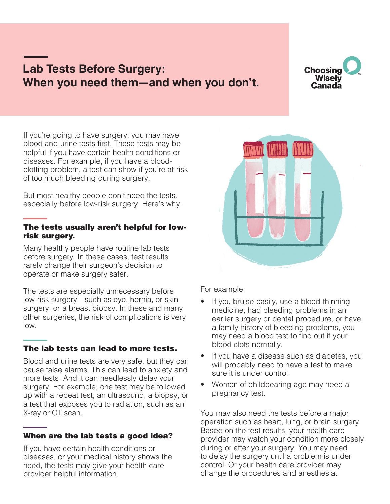# **Lab Tests Before Surgery: When you need them—and when you don't.**

**Choosing Wisely** Canada

If you're going to have surgery, you may have blood and urine tests first. These tests may be helpful if you have certain health conditions or diseases. For example, if you have a bloodclotting problem, a test can show if you're at risk of too much bleeding during surgery.

But most healthy people don't need the tests, especially before low-risk surgery. Here's why:

#### The tests usually aren't helpful for lowrisk surgery.

Many healthy people have routine lab tests before surgery. In these cases, test results rarely change their surgeon's decision to operate or make surgery safer.

The tests are especially unnecessary before low-risk surgery—such as eye, hernia, or skin surgery, or a breast biopsy. In these and many other surgeries, the risk of complications is very low.

# The lab tests can lead to more tests.

Blood and urine tests are very safe, but they can cause false alarms. This can lead to anxiety and more tests. And it can needlessly delay your surgery. For example, one test may be followed up with a repeat test, an ultrasound, a biopsy, or a test that exposes you to radiation, such as an X-ray or CT scan.

# When are the lab tests a good idea?

If you have certain health conditions or diseases, or your medical history shows the need, the tests may give your health care provider helpful information.



For example:

- If you bruise easily, use a blood-thinning medicine, had bleeding problems in an earlier surgery or dental procedure, or have a family history of bleeding problems, you may need a blood test to find out if your blood clots normally.
- If you have a disease such as diabetes, you will probably need to have a test to make sure it is under control.
- Women of childbearing age may need a pregnancy test.

You may also need the tests before a major operation such as heart, lung, or brain surgery. Based on the test results, your health care provider may watch your condition more closely during or after your surgery. You may need to delay the surgery until a problem is under control. Or your health care provider may change the procedures and anesthesia.